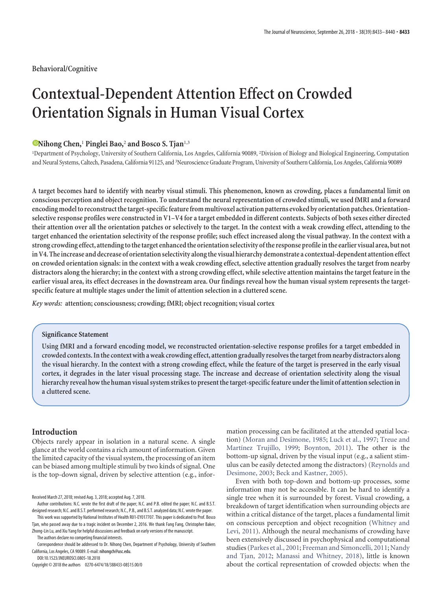**Behavioral/Cognitive**

# **Contextual-Dependent Attention Effect on Crowded Orientation Signals in Human Visual Cortex**

## **E**Nihong Chen,<sup>1</sup> Pinglei Bao,<sup>2</sup> and Bosco S. Tjan<sup>1,3</sup>

<sup>1</sup>Department of Psychology, University of Southern California, Los Angeles, California 90089, <sup>2</sup>Division of Biology and Biological Engineering, Computation and Neural Systems, Caltech, Pasadena, California 91125, and <sup>3</sup>Neuroscience Graduate Program, University of Southern California, Los Angeles, California 90089

**A target becomes hard to identify with nearby visual stimuli. This phenomenon, known as crowding, places a fundamental limit on conscious perception and object recognition. To understand the neural representation of crowded stimuli, we used fMRI and a forward** encoding model to reconstruct the target-specific feature from multivoxel activation patterns evoked by orientation patches. Orientation**selective response profiles were constructed in V1–V4 for a target embedded in different contexts. Subjects of both sexes either directed their attention over all the orientation patches or selectively to the target. In the context with a weak crowding effect, attending to the target enhanced the orientation selectivity of the response profile; such effect increased along the visual pathway. In the context with a strong crowding effect, attendingtothetarget enhancedthe orientation selectivity ofthe response profile inthe earlier visual area, but not in V4. The increase and decrease of orientation selectivity alongthe visual hierarchy demonstrate a contextual-dependent attention effect on crowded orientation signals: in the context with a weak crowding effect, selective attention gradually resolves the target from nearby distractors along the hierarchy; in the context with a strong crowding effect, while selective attention maintains the target feature in the earlier visual area, its effect decreases in the downstream area. Our findings reveal how the human visual system represents the targetspecific feature at multiple stages under the limit of attention selection in a cluttered scene.**

*Key words:* **attention; consciousness; crowding; fMRI; object recognition; visual cortex**

### **Significance Statement**

**Using fMRI and a forward encoding model, we reconstructed orientation-selective response profiles for a target embedded in crowded contexts. Inthe context with a weak crowding effect, attention gradually resolvesthetargetfrom nearby distractors along the visual hierarchy. In the context with a strong crowding effect, while the feature of the target is preserved in the early visual cortex, it degrades in the later visual processing stage. The increase and decrease of orientation selectivity along the visual hierarchy reveal howthe human visual system strikesto presentthetarget-specific feature underthe limit of attention selection in a cluttered scene.**

# **Introduction**

Objects rarely appear in isolation in a natural scene. A single glance at the world contains a rich amount of information. Given the limited capacity of the visual system, the processing of an item can be biased among multiple stimuli by two kinds of signal. One is the top-down signal, driven by selective attention (e.g., infor-

Author contributions: N.C. wrote the first draft of the paper; N.C. and P.B. edited the paper; N.C. and B.S.T. designed research; N.C. and B.S.T. performed research; N.C., P.B., and B.S.T. analyzed data; N.C. wrote the paper.

This work was supported by National Institutes of Health R01-EY017707. This paper is dedicated to Prof. Bosco Tjan, who passed away due to a tragic incident on December 2, 2016. We thank Fang Fang, Christopher Baker, Zhong-Lin Lu, and Xiu Yang for helpful discussions and feedback on early versions of the manuscript.

The authors declare no competing financial interests.

Correspondence should be addressed to Dr. Nihong Chen, Department of Psychology, University of Southern California, Los Angeles, CA 90089. E-mail: nihongch@usc.edu.

DOI:10.1523/JNEUROSCI.0805-18.2018

Copyright © 2018 the authors 0270-6474/18/388433-08\$15.00/0

mation processing can be facilitated at the attended spatial location) [\(Moran and Desimone, 1985;](#page-7-0) [Luck et al., 1997;](#page-7-1) [Treue and](#page-7-2) [Martínez Trujillo, 1999;](#page-7-2) [Boynton, 2011\)](#page-6-0). The other is the bottom-up signal, driven by the visual input (e.g., a salient stimulus can be easily detected among the distractors) [\(Reynolds and](#page-7-3) [Desimone, 2003;](#page-7-3) [Beck and Kastner, 2005\)](#page-6-1).

Even with both top-down and bottom-up processes, some information may not be accessible. It can be hard to identify a single tree when it is surrounded by forest. Visual crowding, a breakdown of target identification when surrounding objects are within a critical distance of the target, places a fundamental limit on conscious perception and object recognition [\(Whitney and](#page-7-4) [Levi, 2011\)](#page-7-4). Although the neural mechanisms of crowding have been extensively discussed in psychophysical and computational studies [\(Parkes et al., 2001;](#page-7-5) [Freeman and Simoncelli, 2011;](#page-7-6) [Nandy](#page-7-7) [and Tjan, 2012;](#page-7-7) [Manassi and Whitney, 2018\)](#page-7-8), little is known about the cortical representation of crowded objects: when the

Received March 27, 2018; revised Aug. 3, 2018; accepted Aug. 7, 2018.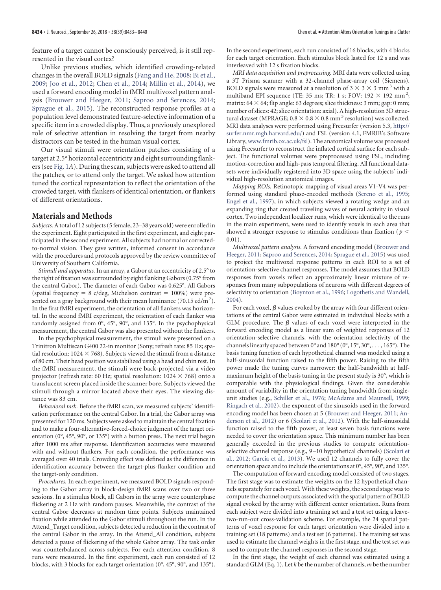feature of a target cannot be consciously perceived, is it still represented in the visual cortex?

Unlike previous studies, which identified crowding-related changes in the overall BOLD signals [\(Fang and He, 2008;](#page-7-9) [Bi et al.,](#page-6-2) [2009;](#page-6-2) [Joo et al., 2012;](#page-7-10) [Chen et al., 2014;](#page-6-3) [Millin et al., 2014\)](#page-7-11), we used a forward encoding model in fMRI multivoxel pattern analysis [\(Brouwer and Heeger, 2011;](#page-6-4) [Saproo and Serences, 2014;](#page-7-12) [Sprague et al., 2015\)](#page-7-13). The reconstructed response profiles at a population level demonstrated feature-selective information of a specific item in a crowded display. Thus, a previously unexplored role of selective attention in resolving the target from nearby distractors can be tested in the human visual cortex.

Our visual stimuli were orientation patches consisting of a target at 2.5° horizontal eccentricity and eight surrounding flankers (see [Fig. 1](#page-2-0)*A*). During the scan, subjects were asked to attend all the patches, or to attend only the target. We asked how attention tuned the cortical representation to reflect the orientation of the crowded target, with flankers of identical orientation, or flankers of different orientations.

## **Materials and Methods**

*Subjects.*A total of 12 subjects (5 female, 23–38 years old) were enrolled in the experiment. Eight participated in the first experiment, and eight participated in the second experiment. All subjects had normal or correctedto-normal vision. They gave written, informed consent in accordance with the procedures and protocols approved by the review committee of University of Southern California.

*Stimuli and apparatus.* In an array, a Gabor at an eccentricity of 2.5° to the right of fixation was surrounded by eight flanking Gabors (0.75° from the central Gabor). The diameter of each Gabor was 0.625°. All Gabors (spatial frequency =  $8 \text{ c/deg}$ , Michelson contrast = 100%) were presented on a gray background with their mean luminance (70.15 cd/m<sup>2</sup>). In the first fMRI experiment, the orientation of all flankers was horizontal. In the second fMRI experiment, the orientation of each flanker was randomly assigned from 0°, 45°, 90°, and 135°. In the psychophysical measurement, the central Gabor was also presented without the flankers.

In the psychophysical measurement, the stimuli were presented on a Trinitron Multiscan G400 22-in monitor (Sony; refresh rate: 85 Hz; spatial resolution:  $1024 \times 768$ ). Subjects viewed the stimuli from a distance of 80 cm. Their head position was stabilized using a head and chin rest. In the fMRI measurement, the stimuli were back-projected via a video projector (refresh rate: 60 Hz; spatial resolution:  $1024 \times 768$ ) onto a translucent screen placed inside the scanner bore. Subjects viewed the stimuli through a mirror located above their eyes. The viewing distance was 83 cm.

*Behavioral task.* Before the fMRI scan, we measured subjects' identification performance on the central Gabor. In a trial, the Gabor array was presented for 120 ms. Subjects were asked to maintain the central fixation and to make a four-alternative-forced-choice judgment of the target orientation (0°, 45°, 90°, or 135°) with a button press. The next trial began after 1000 ms after response. Identification accuracies were measured with and without flankers. For each condition, the performance was averaged over 40 trials. Crowding effect was defined as the difference in identification accuracy between the target-plus-flanker condition and the target-only condition.

*Procedures.* In each experiment, we measured BOLD signals responding to the Gabor array in block-design fMRI scans over two or three sessions. In a stimulus block, all Gabors in the array were counterphase flickering at 2 Hz with random pauses. Meanwhile, the contrast of the central Gabor decreases at random time points. Subjects maintained fixation while attended to the Gabor stimuli throughout the run. In the Attend\_Target condition, subjects detected a reduction in the contrast of the central Gabor in the array. In the Attend\_All condition, subjects detected a pause of flickering of the whole Gabor array. The task order was counterbalanced across subjects. For each attention condition, 8 runs were measured. In the first experiment, each run consisted of 12 blocks, with 3 blocks for each target orientation (0°, 45°, 90°, and 135°).

In the second experiment, each run consisted of 16 blocks, with 4 blocks for each target orientation. Each stimulus block lasted for 12 s and was interleaved with 12 s fixation blocks.

*MRI data acquisition and preprocessing.* MRI data were collected using a 3T Prisma scanner with a 32-channel phase-array coil (Siemens). BOLD signals were measured at a resolution of  $3 \times 3 \times 3$  mm<sup>3</sup> with a multiband EPI sequence (TE: 35 ms; TR: 1 s; FOV: 192  $\times$  192 mm<sup>2</sup>; matrix:  $64 \times 64$ ; flip angle: 63 degrees; slice thickness: 3 mm; gap: 0 mm; number of slices: 42; slice orientation: axial). A high-resolution 3D structural dataset (MPRAGE;  $0.8 \times 0.8 \times 0.8$  mm<sup>3</sup> resolution) was collected. MRI data analyses were performed using Freesurfer (version 5.3, [http://](http://surfer.nmr.mgh.harvard.edu/) [surfer.nmr.mgh.harvard.edu/\)](http://surfer.nmr.mgh.harvard.edu/) and FSL (version 4.1, FMRIB's Software Library, www.fmrib.ox.ac.uk/fsl). The anatomical volume was processed using Freesurfer to reconstruct the inflated cortical surface for each subject. The functional volumes were preprocessed using FSL, including motion-correction and high-pass temporal filtering. All functional datasets were individually registered into 3D space using the subjects' individual high-resolution anatomical images.

*Mapping ROIs.* Retinotopic mapping of visual areas V1-V4 was performed using standard phase-encoded methods [\(Sereno et al., 1995;](#page-7-14) [Engel et al., 1997\)](#page-6-5), in which subjects viewed a rotating wedge and an expanding ring that created traveling waves of neural activity in visual cortex. Two independent localizer runs, which were identical to the runs in the main experiment, were used to identify voxels in each area that showed a stronger response to stimulus conditions than fixation (*p* 0.01).

*Multivoxel pattern analysis.* A forward encoding model [\(Brouwer and](#page-6-4) [Heeger, 2011;](#page-6-4) [Saproo and Serences, 2014;](#page-7-12) [Sprague et al., 2015\)](#page-7-13) was used to project the multivoxel response patterns in each ROI to a set of orientation-selective channel responses. The model assumes that BOLD responses from voxels reflect an approximately linear mixture of responses from many subpopulations of neurons with different degrees of selectivity to orientation [\(Boynton et al., 1996;](#page-6-6) [Logothetis and Wandell,](#page-7-15) [2004\)](#page-7-15).

For each voxel,  $\beta$  values evoked by the array with four different orientations of the central Gabor were estimated in individual blocks with a GLM procedure. The  $\beta$  values of each voxel were interpreted in the forward encoding model as a linear sum of weighted responses of 12 orientation-selective channels, with the orientation selectivity of the channels linearly spaced between 0° and 180° (0°, 15°, 30°, . . . , 165°). The basis tuning function of each hypothetical channel was modeled using a half-sinusoidal function raised to the fifth power. Raising to the fifth power made the tuning curves narrower: the half-bandwidth at halfmaximum height of the basis tuning in the present study is 30°, which is comparable with the physiological findings. Given the considerable amount of variability in the orientation tuning bandwidth from singleunit studies (e.g., [Schiller et al., 1976;](#page-7-16) [McAdams and Maunsell, 1999;](#page-7-17) [Ringach et al., 2002\)](#page-7-18), the exponent of the sinusoids used in the forward encoding model has been chosen at 5 [\(Brouwer and Heeger, 2011;](#page-6-4) [An](#page-6-7)[derson et al., 2012\)](#page-6-7) or 6 [\(Scolari et al., 2012\)](#page-7-19). With the half-sinusoidal function raised to the fifth power, at least seven basis functions were needed to cover the orientation space. This minimum number has been generally exceeded in the previous studies to compute orientationselective channel response (e.g., 9 –10 hypothetical channels) [\(Scolari et](#page-7-19) [al., 2012;](#page-7-19) [Garcia et al., 2013\)](#page-7-20). We used 12 channels to fully cover the orientation space and to include the orientations at 0°, 45°, 90°, and 135°.

The computation of forward encoding model consisted of two stages. The first stage was to estimate the weights on the 12 hypothetical channels separately for each voxel. With these weights, the second stage was to compute the channel outputs associated with the spatial pattern of BOLD signal evoked by the array with different center orientation. Runs from each subject were divided into a training set and a test set using a leavetwo-run-out cross-validation scheme. For example, the 24 spatial patterns of voxel response for each target orientation were divided into a training set (18 patterns) and a test set (6 patterns). The training set was used to estimate the channel weights in the first stage, and the test set was used to compute the channel responses in the second stage.

In the first stage, the weight of each channel was estimated using a standard GLM (Eq. 1). Let *k* be the number of channels, *m* be the number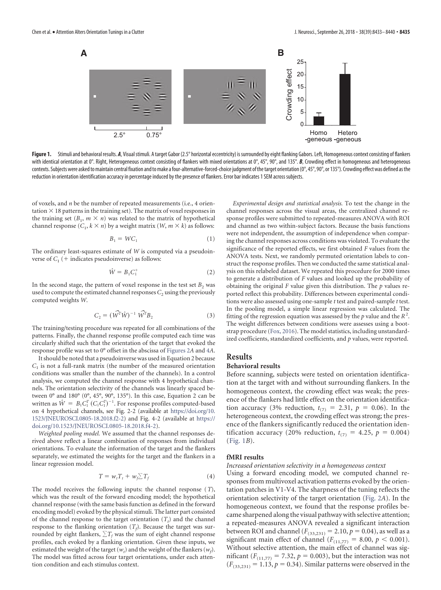

<span id="page-2-0"></span>Figure 1. Stimuli and behavioral results. *A*, Visual stimuli. A target Gabor (2.5° horizontal eccentricity) is surrounded by eight flanking Gabors. Left, Homogeneous context consisting of flankers with identical orientation at 0°. Right, Heterogeneous context consisting of flankers with mixed orientations at 0°, 45°, 90°, and 135°. **B**, Crowding effect in homogeneous and heterogeneous contexts. Subjects were asked to maintain central fixation and to make a four-alternative-forced-choice judgment of the target orientation (0°, 45°, 90°, or 135°). Crowding effect was defined as the reduction in orientation identification accuracy in percentage induced by the presence of flankers. Error bar indicates 1 SEM across subjects.

of voxels, and *n* be the number of repeated measurements (i.e., 4 orientation  $\times$  18 patterns in the training set). The matrix of voxel responses in the training set  $(B_1, m \times n)$  was related to the matrix of hypothetical channel response  $(C_1, k \times n)$  by a weight matrix  $(W, m \times k)$  as follows:

$$
B_1 = W C_1 \tag{1}
$$

The ordinary least-squares estimate of *W* is computed via a pseudoinverse of  $C_1$  (+ indicates pseudoinverse) as follows:

$$
\hat{W} = B_1 C_1^+ \tag{2}
$$

In the second stage, the pattern of voxel response in the test set  $B_2$  was used to compute the estimated channel responses  $C_2$  using the previously computed weights *W*.

$$
C_2 = (\widehat{W}^T \widehat{W})^{-1} \widehat{W}^T B_2 \tag{3}
$$

The training/testing procedure was repeated for all combinations of the patterns. Finally, the channel response profile computed each time was circularly shifted such that the orientation of the target that evoked the response profile was set to 0° offset in the abscissa of [Figures 2](#page-3-0)*A* and [4](#page-4-0)*A*.

It should be noted that a pseudoinverse was used in Equation 2 because  $C_1$  is not a full-rank matrix (the number of the measured orientation conditions was smaller than the number of the channels). In a control analysis, we computed the channel response with 4 hypothetical channels. The orientation selectivity of the channels was linearly spaced between 0° and 180° (0°, 45°, 90°, 135°). In this case, Equation 2 can be written as  $\hat{W} = B_1 C_1^T (C_1 C_1^T)^{-1}$ . For response profiles computed-based on 4 hypothetical channels, see Fig. 2-2 (available at [https://doi.org/10.](https://doi.org/10.1523/JNEUROSCI.0805-18.2018.f2-2) [1523/JNEUROSCI.0805-18.2018.f2-2\)](https://doi.org/10.1523/JNEUROSCI.0805-18.2018.f2-2) and Fig. 4-2 (available at [https://](https://doi.org/10.1523/JNEUROSCI.0805-18.2018.f4-2) [doi.org/10.1523/JNEUROSCI.0805-18.2018.f4-2\)](https://doi.org/10.1523/JNEUROSCI.0805-18.2018.f4-2).

*Weighted pooling model.* We assumed that the channel responses derived above reflect a linear combination of responses from individual orientations. To evaluate the information of the target and the flankers separately, we estimated the weights for the target and the flankers in a linear regression model.

$$
T = w_t T_t + w_f \sum T_f \tag{4}
$$

The model receives the following inputs: the channel response (*T*), which was the result of the forward encoding model; the hypothetical channel response (with the same basis function as defined in the forward encoding model) evoked by the physical stimuli. The latter part consisted of the channel response to the target orientation  $(T_t)$  and the channel response to the flanking orientation  $(T_f)$ . Because the target was surrounded by eight flankers,  $\sum T_f$  was the sum of eight channel response profiles, each evoked by a flanking orientation. Given these inputs, we estimated the weight of the target  $(w_t)$  and the weight of the flankers  $(w_f)$ . The model was fitted across four target orientations, under each attention condition and each stimulus context.

*Experimental design and statistical analysis.* To test the change in the channel responses across the visual areas, the centralized channel response profiles were submitted to repeated-measures ANOVA with ROI and channel as two within-subject factors. Because the basis functions were not independent, the assumption of independence when comparing the channel responses across conditions was violated. To evaluate the significance of the reported effects, we first obtained *F* values from the ANOVA tests. Next, we randomly permuted orientation labels to construct the response profiles. Then we conducted the same statistical analysis on this relabeled dataset. We repeated this procedure for 2000 times to generate a distribution of *F* values and looked up the probability of obtaining the original *F* value given this distribution. The *p* values reported reflect this probability. Differences between experimental conditions were also assessed using one-sample *t* test and paired-sample *t* test. In the pooling model, a simple linear regression was calculated. The fitting of the regression equation was assessed by the  $p$  value and the  $R^2$ . The weight differences between conditions were assesses using a bootstrap procedure [\(Fox, 2016\)](#page-7-21). The model statistics, including unstandardized coefficients, standardized coefficients, and *p* values, were reported.

## **Results**

#### **Behavioral results**

Before scanning, subjects were tested on orientation identification at the target with and without surrounding flankers. In the homogeneous context, the crowding effect was weak; the presence of the flankers had little effect on the orientation identification accuracy (3% reduction,  $t_{(7)} = 2.31, p = 0.06$ ). In the heterogeneous context, the crowding effect was strong; the presence of the flankers significantly reduced the orientation identification accuracy (20% reduction,  $t_{(7)} = 4.25$ ,  $p = 0.004$ ) [\(Fig. 1](#page-2-0)*B*).

#### **fMRI results**

#### *Increased orientation selectivity in a homogeneous context*

Using a forward encoding model, we computed channel responses from multivoxel activation patterns evoked by the orientation patches in V1-V4. The sharpness of the tuning reflects the orientation selectivity of the target orientation [\(Fig. 2](#page-3-0)*A*). In the homogeneous context, we found that the response profiles became sharpened along the visual pathway with selective attention; a repeated-measures ANOVA revealed a significant interaction between ROI and channel  $(F_{(33,231)} = 2.10, p = 0.04)$ , as well as a significant main effect of channel  $(F_{(11,77)} = 8.00, p < 0.001)$ . Without selective attention, the main effect of channel was sigmificant ( $F_{(11,77)} = 7.32$ ,  $p = 0.003$ ), but the interaction was not  $(F_{(33,231)} = 1.13, p = 0.34)$ . Similar patterns were observed in the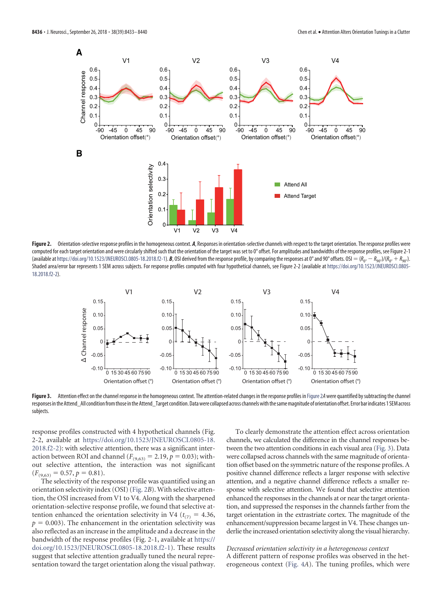

<span id="page-3-0"></span>Figure 2. Orientation-selective response profiles in the homogeneous context. *A*, Responses in orientation-selective channels with respect to the target orientation. The response profiles were computed for each target orientation and were circularly shifted such that the orientation of the target was set to 0° offset. For amplitudes and bandwidths of the response profiles, see Figure 2-1 (available at [https://doi.org/10.1523/JNEUROSCI.0805-18.2018.f2-1\)](https://doi.org/10.1523/JNEUROSCI.0805-18.2018.f2-1). *B*, OSI derived from the response profile, by comparing the responses at 0° and 90° offsets. OSI  $= (R_{0^{\circ}} - R_{90^{\circ}})/(R_{0^{\circ}} + R_{90^{\circ}})$ . Shaded area/error bar represents 1 SEM across subjects. For response profiles computed with four hypothetical channels, see Figure 2-2 (available at [https://doi.org/10.1523/JNEUROSCI.0805-](https://doi.org/10.1523/JNEUROSCI.0805-18.2018.f2-2) [18.2018.f2-2\)](https://doi.org/10.1523/JNEUROSCI.0805-18.2018.f2-2).



<span id="page-3-1"></span>Figure 3. Attention effect on the channel response in the homogeneous context. The attention-related changes in the response profiles in [Figure 2](#page-3-0)A were quantified by subtracting the channel responses in the Attend\_All condition from those in the Attend\_Target condition. Data were collapsed across channels with the same magnitude of orientation offset. Error bar indicates 1 SEM across subjects.

response profiles constructed with 4 hypothetical channels (Fig. 2-2, available at [https://doi.org/10.1523/JNEUROSCI.0805-18.](https://doi.org/10.1523/JNEUROSCI.0805-18.2018.f2-2) [2018.f2-2\)](https://doi.org/10.1523/JNEUROSCI.0805-18.2018.f2-2): with selective attention, there was a significant interaction between ROI and channel ( $F_{(9,63)} = 2.19, p = 0.03$ ); without selective attention, the interaction was not significant  $(F_{(9,63)} = 0.57, p = 0.81).$ 

The selectivity of the response profile was quantified using an orientation selectivity index (OSI) [\(Fig. 2](#page-3-0)*B*). With selective attention, the OSI increased from V1 to V4. Along with the sharpened orientation-selective response profile, we found that selective attention enhanced the orientation selectivity in V4 ( $t_{(7)} = 4.36$ ,  $p = 0.003$ ). The enhancement in the orientation selectivity was also reflected as an increase in the amplitude and a decrease in the bandwidth of the response profiles (Fig. 2-1, available at [https://](https://doi.org/10.1523/JNEUROSCI.0805-18.2018.f2-1) [doi.org/10.1523/JNEUROSCI.0805-18.2018.f2-1\)](https://doi.org/10.1523/JNEUROSCI.0805-18.2018.f2-1). These results suggest that selective attention gradually tuned the neural representation toward the target orientation along the visual pathway.

To clearly demonstrate the attention effect across orientation channels, we calculated the difference in the channel responses between the two attention conditions in each visual area [\(Fig. 3\)](#page-3-1). Data were collapsed across channels with the same magnitude of orientation offset based on the symmetric nature of the response profiles. A positive channel difference reflects a larger response with selective attention, and a negative channel difference reflects a smaller response with selective attention. We found that selective attention enhanced the responses in the channels at or near the target orientation, and suppressed the responses in the channels farther from the target orientation in the extrastriate cortex. The magnitude of the enhancement/suppression became largest in V4. These changes underlie the increased orientation selectivity along the visual hierarchy.

*Decreased orientation selectivity in a heterogeneous context* A different pattern of response profiles was observed in the heterogeneous context [\(Fig. 4](#page-4-0)*A*). The tuning profiles, which were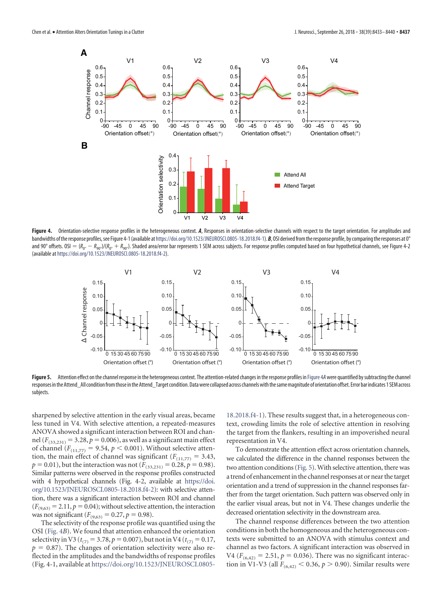

<span id="page-4-0"></span>Figure 4. Orientation-selective response profiles in the heterogeneous context. A, Responses in orientation-selective channels with respect to the target orientation. For amplitudes and bandwidths of the response profiles, see Figure 4-1 (available at [https://doi.org/10.1523/JNEUROSCI.0805-18.2018.f4-1\)](https://doi.org/10.1523/JNEUROSCI.0805-18.2018.f4-1). *B*, OSI derived from the response profile, by comparing the responses at 0° and 90° offsets. OSI  $= (R_{0^\circ} - R_{90^\circ})/ (R_{0^\circ} + R_{90^\circ})$ . Shaded area/error bar represents 1 SEM across subjects. For response profiles computed based on four hypothetical channels, see Figure 4-2 (available at [https://doi.org/10.1523/JNEUROSCI.0805-18.2018.f4-2\)](https://doi.org/10.1523/JNEUROSCI.0805-18.2018.f4-2).



<span id="page-4-1"></span>Figure 5. Attention effect on the channel response in the heterogeneous context. The attention-related changes in the response profiles in [Figure 4](#page-4-0)*A* were quantified by subtracting the channel responses in the Attend\_All condition from those in the Attend\_Target condition. Data were collapsed across channels with the same magnitude of orientation offset. Error bar indicates 1 SEM across subjects.

sharpened by selective attention in the early visual areas, became less tuned in V4. With selective attention, a repeated-measures ANOVA showed a significant interaction between ROI and channel  $(F_{(33,231)} = 3.28, p = 0.006)$ , as well as a significant main effect of channel  $(F_{(11,77)} = 9.54, p < 0.001)$ . Without selective attention, the main effect of channel was significant  $(F_{(11,77)} = 3.43,$  $p = 0.01$ ), but the interaction was not ( $F_{(33,231)} = 0.28$ ,  $p = 0.98$ ). Similar patterns were observed in the response profiles constructed with 4 hypothetical channels (Fig. 4-2, available at [https://doi.](https://doi.org/10.1523/JNEUROSCI.0805-18.2018.f4-2) [org/10.1523/JNEUROSCI.0805-18.2018.f4-2\)](https://doi.org/10.1523/JNEUROSCI.0805-18.2018.f4-2): with selective attention, there was a significant interaction between ROI and channel  $(F_{(9,63)} = 2.11, p = 0.04)$ ; without selective attention, the interaction was not significant  $(F_{(9,63)} = 0.27, p = 0.98)$ .

The selectivity of the response profile was quantified using the OSI [\(Fig. 4](#page-4-0)*B*). We found that attention enhanced the orientation selectivity in V3 ( $t_{(7)} = 3.78$ ,  $p = 0.007$ ), but not in V4 ( $t_{(7)} = 0.17$ ,  $p = 0.87$ ). The changes of orientation selectivity were also reflected in the amplitudes and the bandwidths of response profiles (Fig. 4-1, available at [https://doi.org/10.1523/JNEUROSCI.0805-](https://doi.org/10.1523/JNEUROSCI.0805-18.2018.f4-1) [18.2018.f4-1\)](https://doi.org/10.1523/JNEUROSCI.0805-18.2018.f4-1). These results suggest that, in a heterogeneous context, crowding limits the role of selective attention in resolving the target from the flankers, resulting in an impoverished neural representation in V4.

To demonstrate the attention effect across orientation channels, we calculated the difference in the channel responses between the two attention conditions [\(Fig. 5\)](#page-4-1). With selective attention, there was a trend of enhancementin the channel responses at or near the target orientation and a trend of suppression in the channel responses farther from the target orientation. Such pattern was observed only in the earlier visual areas, but not in V4. These changes underlie the decreased orientation selectivity in the downstream area.

The channel response differences between the two attention conditions in both the homogeneous and the heterogeneous contexts were submitted to an ANOVA with stimulus context and channel as two factors. A significant interaction was observed in  $V4 (F_{(6,42)} = 2.51, p = 0.036)$ . There was no significant interaction in V1-V3 (all  $F_{(6,42)} < 0.36$ ,  $p > 0.90$ ). Similar results were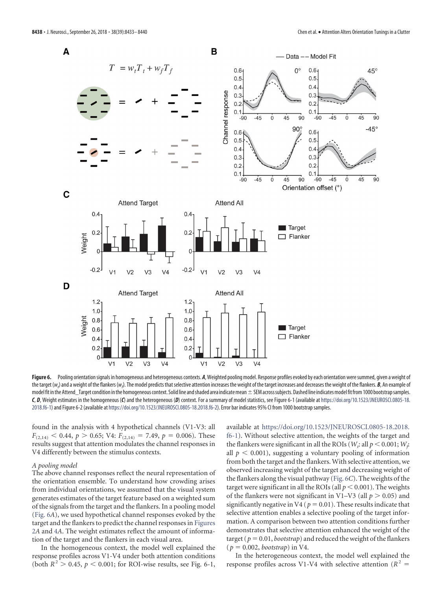

<span id="page-5-0"></span>Figure 6. Pooling orientation signals in homogeneous and heterogeneous contexts. *A*, Weighted pooling model. Response profiles evoked by each orientation were summed, given a weight of the target (w<sub>t</sub>) and a weight of the flankers (w<sub>t</sub>). The model predicts that selective attention increases the weight of the target increases and decreases the weight of the flankers. *B*, An example of model fit in the Attend\_Target condition in the homogeneous context. Solid line and shaded area indicate mean  $\pm$  SEM across subjects. Dashed line indicates model fit from 1000 bootstrap samples. *C*, *D*, Weight estimates in the homogeneous (*C*) and the heterogeneous (*D*) context. For a summary of model statistics, see Figure 6-1 (available at [https://doi.org/10.1523/JNEUROSCI.0805-18.](https://doi.org/10.1523/JNEUROSCI.0805-18.2018.f6-1) [2018.f6-1\)](https://doi.org/10.1523/JNEUROSCI.0805-18.2018.f6-1) and Figure 6-2 (available at [https://doi.org/10.1523/JNEUROSCI.0805-18.2018.f6-2\)](https://doi.org/10.1523/JNEUROSCI.0805-18.2018.f6-2). Error bar indicates 95% CI from 1000 bootstrap samples.

found in the analysis with 4 hypothetical channels (V1-V3: all  $F_{(2,14)} < 0.44$ ,  $p > 0.65$ ; V4:  $F_{(2,14)} = 7.49$ ,  $p = 0.006$ ). These results suggest that attention modulates the channel responses in V4 differently between the stimulus contexts.

#### *A pooling model*

The above channel responses reflect the neural representation of the orientation ensemble. To understand how crowding arises from individual orientations, we assumed that the visual system generates estimates of the target feature based on a weighted sum of the signals from the target and the flankers. In a pooling model [\(Fig. 6](#page-5-0)*A*), we used hypothetical channel responses evoked by the target and the flankers to predict the channel responses in [Figures](#page-3-0) [2](#page-3-0)*A* and [4](#page-4-0)*A*. The weight estimates reflect the amount of information of the target and the flankers in each visual area.

In the homogeneous context, the model well explained the response profiles across V1-V4 under both attention conditions (both  $R^2 > 0.45$ ,  $p < 0.001$ ; for ROI-wise results, see Fig. 6-1, available at [https://doi.org/10.1523/JNEUROSCI.0805-18.2018.](https://doi.org/10.1523/JNEUROSCI.0805-18.2018.f6-1) [f6-1\)](https://doi.org/10.1523/JNEUROSCI.0805-18.2018.f6-1). Without selective attention, the weights of the target and the flankers were significant in all the ROIs (  $W_t$ : all  $p < 0.001; W_f$ : all  $p < 0.001$ ), suggesting a voluntary pooling of information from both the target and the flankers. With selective attention, we observed increasing weight of the target and decreasing weight of the flankers along the visual pathway [\(Fig. 6](#page-5-0)*C*). The weights of the target were significant in all the ROIs (all  $p < 0.001$ ). The weights of the flankers were not significant in V1–V3 (all  $p > 0.05$ ) and significantly negative in V4 ( $p = 0.01$ ). These results indicate that selective attention enables a selective pooling of the target information. A comparison between two attention conditions further demonstrates that selective attention enhanced the weight of the target ( $p = 0.01$ , *bootstrap*) and reduced the weight of the flankers  $(p = 0.002,$  *bootstrap*) in V4.

In the heterogeneous context, the model well explained the response profiles across V1-V4 with selective attention ( $R^2$  =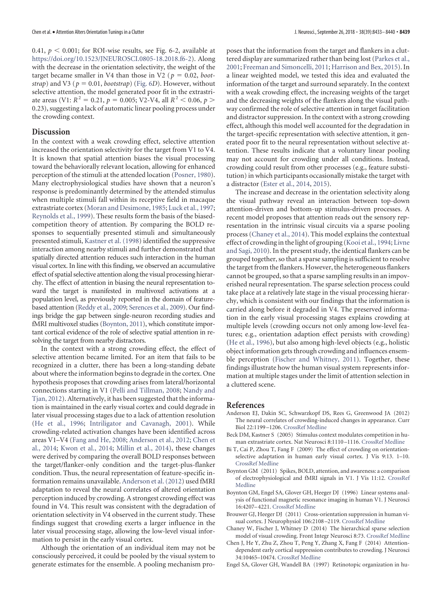0.41,  $p < 0.001$ ; for ROI-wise results, see Fig. 6-2, available at [https://doi.org/10.1523/JNEUROSCI.0805-18.2018.f6-2\)](https://doi.org/10.1523/JNEUROSCI.0805-18.2018.f6-2). Along with the decrease in the orientation selectivity, the weight of the target became smaller in V4 than those in V2 ( $p = 0.02$ , *boot*- $\langle \text{strap} \rangle$  and V3 ( $p = 0.01$ , *bootstrap*) [\(Fig. 6](#page-5-0)*D*). However, without selective attention, the model generated poor fit in the extrastriate areas (V1:  $R^2 = 0.21$ ,  $p = 0.005$ ; V2-V4, all  $R^2 < 0.06$ ,  $p >$ 0.23), suggesting a lack of automatic linear pooling process under the crowding context.

## **Discussion**

In the context with a weak crowding effect, selective attention increased the orientation selectivity for the target from V1 to V4. It is known that spatial attention biases the visual processing toward the behaviorally relevant location, allowing for enhanced perception of the stimuli at the attended location [\(Posner, 1980\)](#page-7-22). Many electrophysiological studies have shown that a neuron's response is predominantly determined by the attended stimulus when multiple stimuli fall within its receptive field in macaque extrastriate cortex [\(Moran and Desimone, 1985;](#page-7-0) [Luck et al., 1997;](#page-7-1) [Reynolds et al., 1999\)](#page-7-23). These results form the basis of the biasedcompetition theory of attention. By comparing the BOLD responses to sequentially presented stimuli and simultaneously presented stimuli, [Kastner et al. \(1998\)](#page-7-24) identified the suppressive interaction among nearby stimuli and further demonstrated that spatially directed attention reduces such interaction in the human visual cortex. In line with this finding, we observed an accumulative effect of spatial selective attention along the visual processing hierarchy. The effect of attention in biasing the neural representation toward the target is manifested in multivoxel activations at a population level, as previously reported in the domain of featurebased attention [\(Reddy et al., 2009;](#page-7-25) [Serences et al., 2009\)](#page-7-26). Our findings bridge the gap between single-neuron recording studies and fMRI multivoxel studies [\(Boynton, 2011\)](#page-6-0), which constitute important cortical evidence of the role of selective spatial attention in resolving the target from nearby distractors.

In the context with a strong crowding effect, the effect of selective attention became limited. For an item that fails to be recognized in a clutter, there has been a long-standing debate about where the information begins to degrade in the cortex. One hypothesis proposes that crowding arises from lateral/horizontal connections starting in V1 [\(Pelli and Tillman, 2008;](#page-7-27) [Nandy and](#page-7-7) [Tjan, 2012\)](#page-7-7). Alternatively, it has been suggested that the information is maintained in the early visual cortex and could degrade in later visual processing stages due to a lack of attention resolution [\(He et al., 1996;](#page-7-28) [Intriligator and Cavanagh, 2001\)](#page-7-29). While crowding-related activation changes have been identified across areas V1–V4 [\(Fang and He, 2008;](#page-7-9) [Anderson et al., 2012;](#page-6-7) [Chen et](#page-6-3) [al., 2014;](#page-6-3) [Kwon et al., 2014;](#page-7-30) [Millin et al., 2014\)](#page-7-11), these changes were derived by comparing the overall BOLD responses between the target/flanker-only condition and the target-plus-flanker condition. Thus, the neural representation of feature-specific information remains unavailable.[Anderson et al. \(2012\)](#page-6-7) used fMRI adaptation to reveal the neural correlates of altered orientation perception induced by crowding. A strongest crowding effect was found in V4. This result was consistent with the degradation of orientation selectivity in V4 observed in the current study. These findings suggest that crowding exerts a larger influence in the later visual processing stage, allowing the low-level visual information to persist in the early visual cortex.

Although the orientation of an individual item may not be consciously perceived, it could be pooled by the visual system to generate estimates for the ensemble. A pooling mechanism proposes that the information from the target and flankers in a cluttered display are summarized rather than being lost [\(Parkes et al.,](#page-7-5) [2001;](#page-7-5) [Freeman and Simoncelli, 2011;](#page-7-6) [Harrison and Bex, 2015\)](#page-7-31). In a linear weighted model, we tested this idea and evaluated the information of the target and surround separately. In the context with a weak crowding effect, the increasing weights of the target and the decreasing weights of the flankers along the visual pathway confirmed the role of selective attention in target facilitation and distractor suppression. In the context with a strong crowding effect, although this model well accounted for the degradation in the target-specific representation with selective attention, it generated poor fit to the neural representation without selective attention. These results indicate that a voluntary linear pooling may not account for crowding under all conditions. Instead, crowding could result from other processes (e.g., feature substitution) in which participants occasionally mistake the target with a distractor [\(Ester et al., 2014,](#page-7-32) [2015\)](#page-7-33).

The increase and decrease in the orientation selectivity along the visual pathway reveal an interaction between top-down attention-driven and bottom-up stimulus-driven processes. A recent model proposes that attention reads out the sensory representation in the intrinsic visual circuits via a sparse pooling process [\(Chaney et al., 2014\)](#page-6-8). This model explains the contextual effect of crowding in the light of grouping [\(Kooi et al., 1994;](#page-7-34) [Livne](#page-7-35) [and Sagi, 2010\)](#page-7-35). In the present study, the identical flankers can be grouped together, so that a sparse sampling is sufficient to resolve the target from the flankers. However, the heterogeneous flankers cannot be grouped, so that a sparse sampling results in an impoverished neural representation. The sparse selection process could take place at a relatively late stage in the visual processing hierarchy, which is consistent with our findings that the information is carried along before it degraded in V4. The preserved information in the early visual processing stages explains crowding at multiple levels (crowding occurs not only among low-level features; e.g., orientation adaption effect persists with crowding) [\(He et al., 1996\)](#page-7-28), but also among high-level objects (e.g., holistic object information gets through crowding and influences ensemble perception [\(Fischer and Whitney, 2011\)](#page-7-36). Together, these findings illustrate how the human visual system represents information at multiple stages under the limit of attention selection in a cluttered scene.

#### <span id="page-6-7"></span>**References**

- Anderson EJ, Dakin SC, Schwarzkopf DS, Rees G, Greenwood JA (2012) The neural correlates of crowding-induced changes in appearance. Curr Biol 22:1199 –1206. [CrossRef](http://dx.doi.org/10.1016/j.cub.2012.04.063) [Medline](http://www.ncbi.nlm.nih.gov/pubmed/22658599)
- <span id="page-6-1"></span>Beck DM, Kastner S (2005) Stimulus context modulates competition in human extrastriate cortex. Nat Neurosci 8:1110 –1116. [CrossRef](http://dx.doi.org/10.1038/nn1501) [Medline](http://www.ncbi.nlm.nih.gov/pubmed/16007082)
- <span id="page-6-2"></span>Bi T, Cai P, Zhou T, Fang F (2009) The effect of crowding on orientationselective adaptation in human early visual cortex. J Vis 9:13. 1–10. [CrossRef](http://dx.doi.org/10.1167/9.11.13) [Medline](http://www.ncbi.nlm.nih.gov/pubmed/20053076)
- <span id="page-6-0"></span>Boynton GM (2011) Spikes, BOLD, attention, and awareness: a comparison of electrophysiological and fMRI signals in V1. J Vis 11:12. [CrossRef](http://dx.doi.org/10.1167/11.5.12) [Medline](http://www.ncbi.nlm.nih.gov/pubmed/22199162)
- <span id="page-6-6"></span>Boynton GM, Engel SA, Glover GH, Heeger DJ (1996) Linear systems analysis of functional magnetic resonance imaging in human V1. J Neurosci 16:4207–4221. [CrossRef](http://dx.doi.org/10.1523/JNEUROSCI.16-13-04207.1996) [Medline](http://www.ncbi.nlm.nih.gov/pubmed/8753882)
- <span id="page-6-4"></span>Brouwer GJ, Heeger DJ (2011) Cross-orientation suppression in human visual cortex. J Neurophysiol 106:2108 –2119. [CrossRef](http://dx.doi.org/10.1152/jn.00540.2011) [Medline](http://www.ncbi.nlm.nih.gov/pubmed/21775720)
- <span id="page-6-8"></span>Chaney W, Fischer J, Whitney D (2014) The hierarchical sparse selection model of visual crowding. Front Integr Neurosci 8:73. [CrossRef](http://dx.doi.org/10.3389/fnint.2014.00073) [Medline](http://www.ncbi.nlm.nih.gov/pubmed/25309360)
- <span id="page-6-3"></span>Chen J, He Y, Zhu Z, Zhou T, Peng Y, Zhang X, Fang F (2014) Attentiondependent early cortical suppression contributes to crowding. J Neurosci 34:10465–10474. [CrossRef](http://dx.doi.org/10.1523/JNEUROSCI.1140-14.2014) [Medline](http://www.ncbi.nlm.nih.gov/pubmed/25100582)
- <span id="page-6-5"></span>Engel SA, Glover GH, Wandell BA (1997) Retinotopic organization in hu-